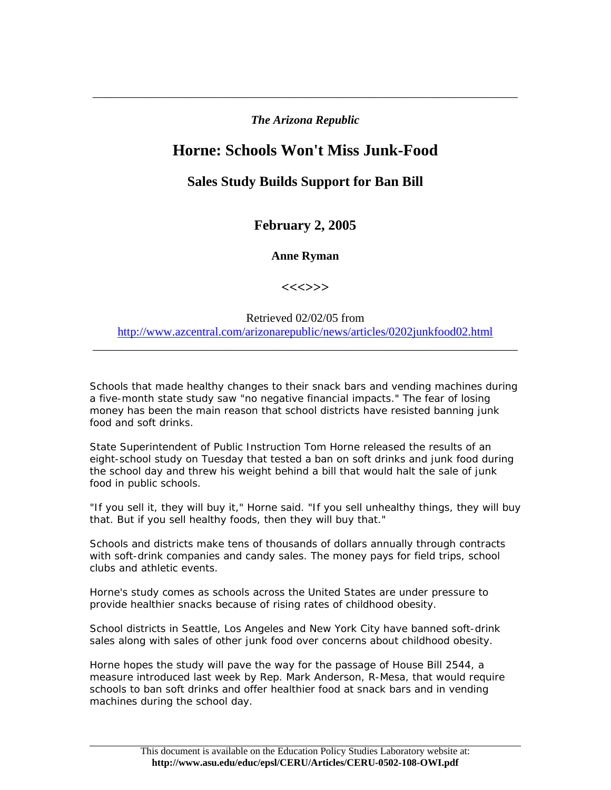*The Arizona Republic*

\_\_\_\_\_\_\_\_\_\_\_\_\_\_\_\_\_\_\_\_\_\_\_\_\_\_\_\_\_\_\_\_\_\_\_\_\_\_\_\_\_\_\_\_\_\_\_\_\_\_\_\_\_\_\_\_\_\_\_\_\_\_\_\_\_\_\_\_\_\_\_

## **Horne: Schools Won't Miss Junk-Food**

## **Sales Study Builds Support for Ban Bill**

**February 2, 2005** 

**Anne Ryman** 

**<<<>>>** 

Retrieved 02/02/05 from <http://www.azcentral.com/arizonarepublic/news/articles/0202junkfood02.html>

\_\_\_\_\_\_\_\_\_\_\_\_\_\_\_\_\_\_\_\_\_\_\_\_\_\_\_\_\_\_\_\_\_\_\_\_\_\_\_\_\_\_\_\_\_\_\_\_\_\_\_\_\_\_\_\_\_\_\_\_\_\_\_\_\_\_\_\_\_\_\_

Schools that made healthy changes to their snack bars and vending machines during a five-month state study saw "no negative financial impacts." The fear of losing money has been the main reason that school districts have resisted banning junk food and soft drinks.

State Superintendent of Public Instruction Tom Horne released the results of an eight-school study on Tuesday that tested a ban on soft drinks and junk food during the school day and threw his weight behind a bill that would halt the sale of junk food in public schools.

"If you sell it, they will buy it," Horne said. "If you sell unhealthy things, they will buy that. But if you sell healthy foods, then they will buy that."

Schools and districts make tens of thousands of dollars annually through contracts with soft-drink companies and candy sales. The money pays for field trips, school clubs and athletic events.

Horne's study comes as schools across the United States are under pressure to provide healthier snacks because of rising rates of childhood obesity.

School districts in Seattle, Los Angeles and New York City have banned soft-drink sales along with sales of other junk food over concerns about childhood obesity.

Horne hopes the study will pave the way for the passage of House Bill 2544, a measure introduced last week by Rep. Mark Anderson, R-Mesa, that would require schools to ban soft drinks and offer healthier food at snack bars and in vending machines during the school day.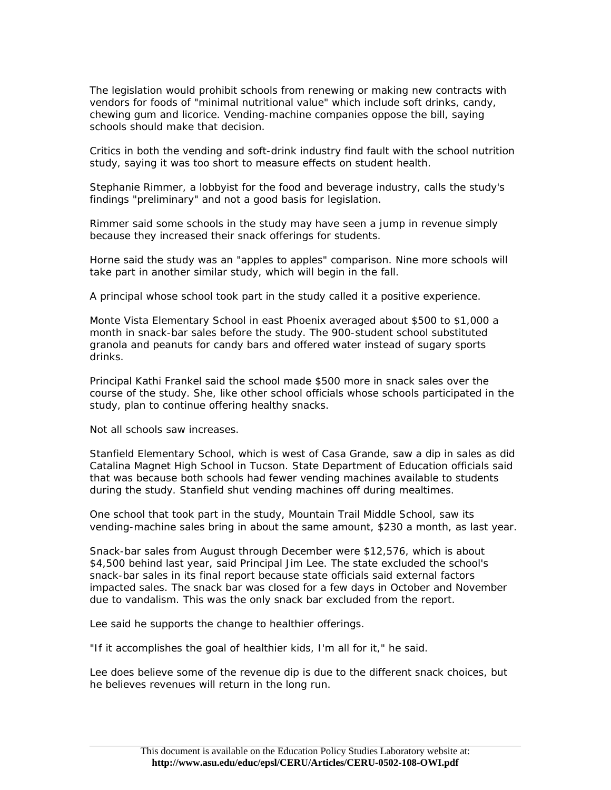The legislation would prohibit schools from renewing or making new contracts with vendors for foods of "minimal nutritional value" which include soft drinks, candy, chewing gum and licorice. Vending-machine companies oppose the bill, saying schools should make that decision.

Critics in both the vending and soft-drink industry find fault with the school nutrition study, saying it was too short to measure effects on student health.

Stephanie Rimmer, a lobbyist for the food and beverage industry, calls the study's findings "preliminary" and not a good basis for legislation.

Rimmer said some schools in the study may have seen a jump in revenue simply because they increased their snack offerings for students.

Horne said the study was an "apples to apples" comparison. Nine more schools will take part in another similar study, which will begin in the fall.

A principal whose school took part in the study called it a positive experience.

Monte Vista Elementary School in east Phoenix averaged about \$500 to \$1,000 a month in snack-bar sales before the study. The 900-student school substituted granola and peanuts for candy bars and offered water instead of sugary sports drinks.

Principal Kathi Frankel said the school made \$500 more in snack sales over the course of the study. She, like other school officials whose schools participated in the study, plan to continue offering healthy snacks.

Not all schools saw increases.

Stanfield Elementary School, which is west of Casa Grande, saw a dip in sales as did Catalina Magnet High School in Tucson. State Department of Education officials said that was because both schools had fewer vending machines available to students during the study. Stanfield shut vending machines off during mealtimes.

One school that took part in the study, Mountain Trail Middle School, saw its vending-machine sales bring in about the same amount, \$230 a month, as last year.

Snack-bar sales from August through December were \$12,576, which is about \$4,500 behind last year, said Principal Jim Lee. The state excluded the school's snack-bar sales in its final report because state officials said external factors impacted sales. The snack bar was closed for a few days in October and November due to vandalism. This was the only snack bar excluded from the report.

Lee said he supports the change to healthier offerings.

"If it accomplishes the goal of healthier kids, I'm all for it," he said.

Lee does believe some of the revenue dip is due to the different snack choices, but he believes revenues will return in the long run.